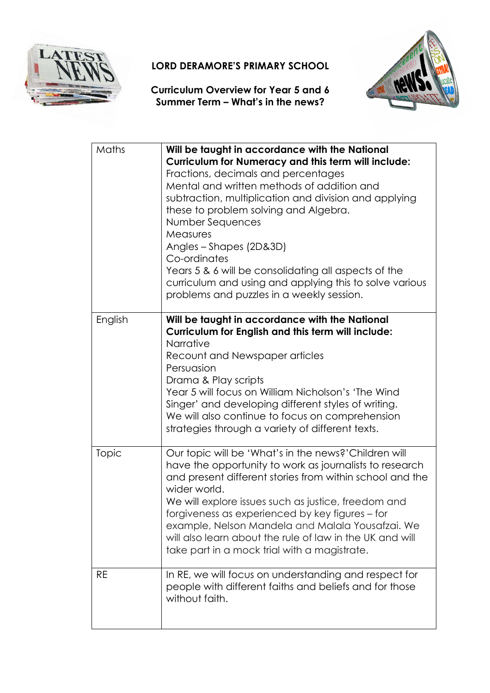

## LORD DERAMORE'S PRIMARY SCHOOL

Curriculum Overview for Year 5 and 6 Summer Term – What's in the news?



| Maths     | Will be taught in accordance with the National<br><b>Curriculum for Numeracy and this term will include:</b><br>Fractions, decimals and percentages<br>Mental and written methods of addition and<br>subtraction, multiplication and division and applying<br>these to problem solving and Algebra.<br>Number Sequences<br>Measures<br>Angles - Shapes (2D&3D)<br>Co-ordinates<br>Years 5 & 6 will be consolidating all aspects of the<br>curriculum and using and applying this to solve various<br>problems and puzzles in a weekly session. |
|-----------|------------------------------------------------------------------------------------------------------------------------------------------------------------------------------------------------------------------------------------------------------------------------------------------------------------------------------------------------------------------------------------------------------------------------------------------------------------------------------------------------------------------------------------------------|
| English   | Will be taught in accordance with the National<br>Curriculum for English and this term will include:<br>Narrative<br>Recount and Newspaper articles<br>Persuasion<br>Drama & Play scripts<br>Year 5 will focus on William Nicholson's 'The Wind<br>Singer' and developing different styles of writing.<br>We will also continue to focus on comprehension<br>strategies through a variety of different texts.                                                                                                                                  |
| Topic     | Our topic will be 'What's in the news?' Children will<br>have the opportunity to work as journalists to research<br>and present different stories from within school and the<br>wider world.<br>We will explore issues such as justice, freedom and<br>forgiveness as experienced by key figures – for<br>example, Nelson Mandela and Malala Yousafzai. We<br>will also learn about the rule of law in the UK and will<br>take part in a mock trial with a magistrate.                                                                         |
| <b>RE</b> | In RE, we will focus on understanding and respect for<br>people with different faiths and beliefs and for those<br>without faith.                                                                                                                                                                                                                                                                                                                                                                                                              |